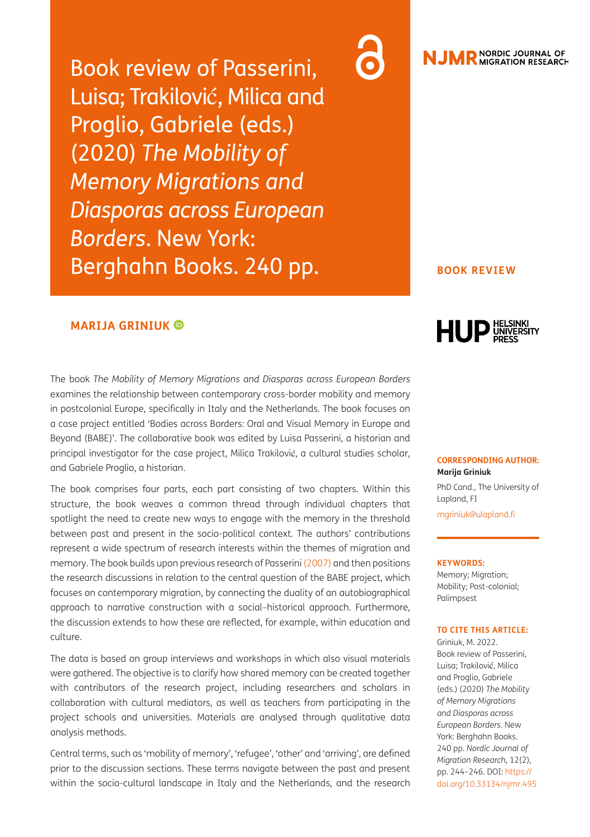Book review of Passerini, Luisa; Trakilović, Milica and Proglio, Gabriele (eds.) (2020) *The Mobility of Memory Migrations and Diasporas across European Borders*. New York: Berghahn Books. 240 pp.

### **MARIJA GRINIUK**

The book *The Mobility of Memory Migrations and Diasporas across European Borders*  examines the relationship between contemporary cross-border mobility and memory in postcolonial Europe, specifically in Italy and the Netherlands. The book focuses on a case project entitled 'Bodies across Borders: Oral and Visual Memory in Europe and Beyond (BABE)'. The collaborative book was edited by Luisa Passerini, a historian and principal investigator for the case project, Milica Trakilović, a cultural studies scholar, and Gabriele Proglio, a historian.

The book comprises four parts, each part consisting of two chapters. Within this structure, the book weaves a common thread through individual chapters that spotlight the need to create new ways to engage with the memory in the threshold between past and present in the socio-political context. The authors' contributions represent a wide spectrum of research interests within the themes of migration and memory. The book builds upon previous research of Passerini ([2007\)](#page-2-0) and then positions the research discussions in relation to the central question of the BABE project, which focuses on contemporary migration, by connecting the duality of an autobiographical approach to narrative construction with a social–historical approach. Furthermore, the discussion extends to how these are reflected, for example, within education and culture.

The data is based on group interviews and workshops in which also visual materials were gathered. The objective is to clarify how shared memory can be created together with contributors of the research project, including researchers and scholars in collaboration with cultural mediators, as well as teachers from participating in the project schools and universities. Materials are analysed through qualitative data analysis methods.

Central terms, such as 'mobility of memory', 'refugee', 'other' and 'arriving', are defined prior to the discussion sections. These terms navigate between the past and present within the socio-cultural landscape in Italy and the Netherlands, and the research



### **BOOK REVIEW**



#### **CORRESPONDING AUTHOR: Marija Griniuk**

PhD Cand., The University of Lapland, FI [mgriniuk@ulapland.fi](mailto:mgriniuk@ulapland.fi)

#### **KEYWORDS:**

Memory; Migration; Mobility; Post-colonial; Palimpsest

#### **TO CITE THIS ARTICLE:**

Griniuk, M. 2022. Book review of Passerini, Luisa; Trakilović, Milica and Proglio, Gabriele (eds.) (2020) *The Mobility of Memory Migrations and Diasporas across European Borders*. New York: Berghahn Books. 240 pp. *Nordic Journal of Migration Research,* 12(2), pp. 244–246. DOI: [https://](https://doi.org/10.33134/njmr.495) [doi.org/10.33134/njmr.495](https://doi.org/10.33134/njmr.495)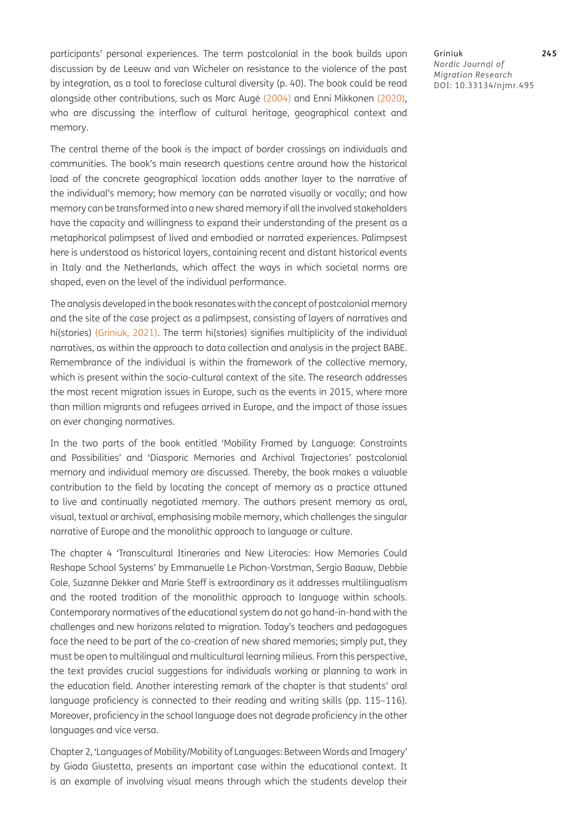participants' personal experiences. The term postcolonial in the book builds upon discussion by de Leeuw and van Wicheler on resistance to the violence of the past by integration, as a tool to foreclose cultural diversity (p. 40). The book could be read alongside other contributions, such as Marc Augé (2004) and Enni Mikkonen [\(2020\)](#page-2-1), who are discussing the interflow of cultural heritage, geographical context and memory.

The central theme of the book is the impact of border crossings on individuals and communities. The book's main research questions centre around how the historical load of the concrete geographical location adds another layer to the narrative of the individual's memory; how memory can be narrated visually or vocally; and how memory can be transformed into a new shared memory if all the involved stakeholders have the capacity and willingness to expand their understanding of the present as a metaphorical palimpsest of lived and embodied or narrated experiences. Palimpsest here is understood as historical layers, containing recent and distant historical events in Italy and the Netherlands, which affect the ways in which societal norms are shaped, even on the level of the individual performance.

The analysis developed in the book resonates with the concept of postcolonial memory and the site of the case project as a palimpsest, consisting of layers of narratives and hi(stories) [\(Griniuk, 2021\)](#page-2-2). The term hi(stories) signifies multiplicity of the individual narratives, as within the approach to data collection and analysis in the project BABE. Remembrance of the individual is within the framework of the collective memory, which is present within the socio-cultural context of the site. The research addresses the most recent migration issues in Europe, such as the events in 2015, where more than million migrants and refugees arrived in Europe, and the impact of those issues on ever changing normatives.

In the two parts of the book entitled 'Mobility Framed by Language: Constraints and Possibilities' and 'Diasporic Memories and Archival Trajectories' postcolonial memory and individual memory are discussed. Thereby, the book makes a valuable contribution to the field by locating the concept of memory as a practice attuned to live and continually negotiated memory. The authors present memory as oral, visual, textual or archival, emphasising mobile memory, which challenges the singular narrative of Europe and the monolithic approach to language or culture.

The chapter 4 'Transcultural Itineraries and New Literacies: How Memories Could Reshape School Systems' by Emmanuelle Le Pichon-Vorstman, Sergio Baauw, Debbie Cole, Suzanne Dekker and Marie Steff is extraordinary as it addresses multilingualism and the rooted tradition of the monolithic approach to language within schools. Contemporary normatives of the educational system do not go hand-in-hand with the challenges and new horizons related to migration. Today's teachers and pedagogues face the need to be part of the co-creation of new shared memories; simply put, they must be open to multilingual and multicultural learning milieus. From this perspective, the text provides crucial suggestions for individuals working or planning to work in the education field. Another interesting remark of the chapter is that students' oral language proficiency is connected to their reading and writing skills (pp. 115–116). Moreover, proficiency in the school language does not degrade proficiency in the other languages and vice versa.

Chapter 2, 'Languages of Mobility/Mobility of Languages: Between Words and Imagery' by Giada Giustetto, presents an important case within the educational context. It is an example of involving visual means through which the students develop their

Griniuk **245** *Nordic Journal of Migration Research* DOI: [10.33134/njmr.495](https://doi.org/10.33134/njmr.495)